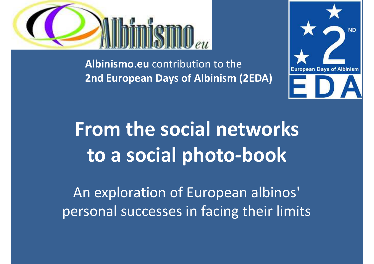

**Albinismo.eu** contribution to the **2nd European Days of Albinism (2EDA)**



**From the social networks to a social photo-book**

An exploration of European albinos' personal successes in facing their limits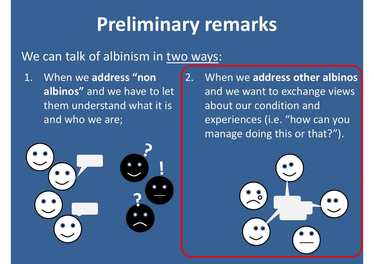## **Preliminary remarks**

### We can talk of albinism in two ways:

1. When we **address "non albinos"** and we have to let them understand what it is and who we are;



2. When we **address other albinos**  and we want to exchange views about our condition and experiences (i.e. "how can you manage doing this or that?").

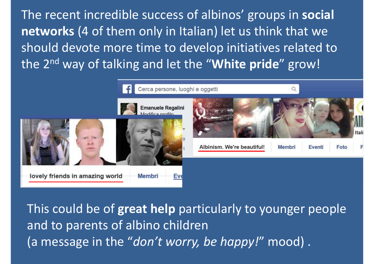The recent incredible success of albinos' groups in **social networks** (4 of them only in Italian) let us think that we should devote more time to develop initiatives related to the 2nd way of talking and let the "**White pride**" grow!



This could be of **great help** particularly to younger people and to parents of albino children (a message in the "*don't worry, be happy!*" mood) .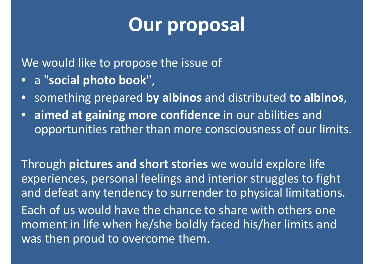## **Our proposal**

We would like to propose the issue of

- <sup>a</sup>"**social photo book**",
- something prepared **by albinos** and distributed **to albinos**,
- **aimed at gaining more confidence** in our abilities and opportunities rather than more consciousness of our limits.

Through **pictures and short stories** we would explore life experiences, personal feelings and interior struggles to fight and defeat any tendency to surrender to physical limitations.Each of us would have the chance to share with others one moment in life when he/she boldly faced his/her limits and was then proud to overcome them.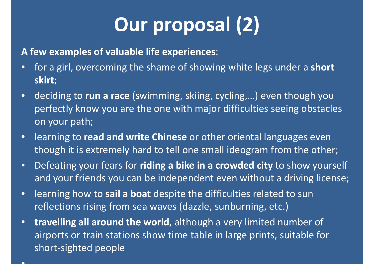# **Our proposal (2)**

**A few examples of valuable life experiences**:

- • for a girl, overcoming the shame of showing white legs under a **short skirt**;
- $\bullet$  deciding to **run a race** (swimming, skiing, cycling,…) even though you perfectly know you are the one with major difficulties seeing obstacles on your path;
- $\bullet$  learning to **read and write Chinese** or other oriental languages eventhough it is extremely hard to tell one small ideogram from the other;<br>-
- $\bullet$  Defeating your fears for **riding a bike in a crowded city** to show yourself and your friends you can be independent even without a driving license;
- $\bullet$ • learning how to **sail a boat** despite the difficulties related to sun<br>and the set of the set of the set of the set of the set of the set of the set of the set of the set of the set o reflections rising from sea waves (dazzle, sunburning, etc.)
- $\bullet$  **travelling all around the world**, although a very limited number of airports or train stations show time table in large prints, suitable for short-sighted people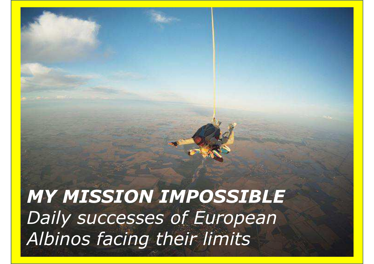*MY MISSION IMPOSSIBLEDaily successes of European Albinos facing their limits*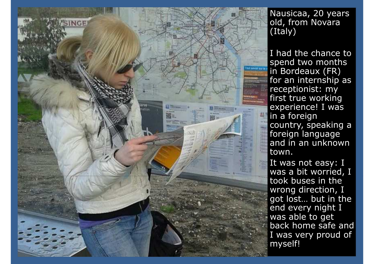

Nausicaa, 20 yearsold, from Novara (Italy)

I had the chance to spend two months in Bordeaux (FR) for an internship as<br>recentionist: mv receptionist: myfirst true working<br>exnerience! I was experience! I wasin a foreigncountry, speaking a<br>foreian language foreign language and in an unknowntown.

It was not easy: I was a bit worried, I took buses in the wrong direction, I got lost… but in the end every night I was able to get back home safe and I was very proud of myself!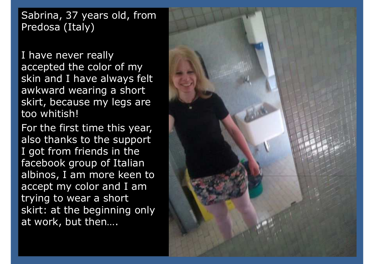Sabrina, 37 years old, from Predosa (Italy)

I have never really accepted the color of my skin and I have always felt awkward wearing a short skirt, because my legs are too whitish!

For the first time this year, also thanks to the support I got from friends in the facebook group of Italian albinos, I am more keen to<br>accent my color and I am accept my color and I am trying to wear a short skirt: at the beginning only at work, but then….

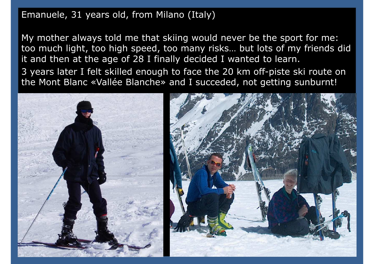#### Emanuele, 31 years old, from Milano (Italy)

My mother always told me that skiing would never be the sport for me: too much light, too high speed, too many risks… but lots of my friends did it and then at the age of 28 I finally decided I wanted to learn.

3 years later I felt skilled enough to face the 20 km off-piste ski route on the Mont Blanc «Vallée Blanche» and I succeded, not getting sunburnt!

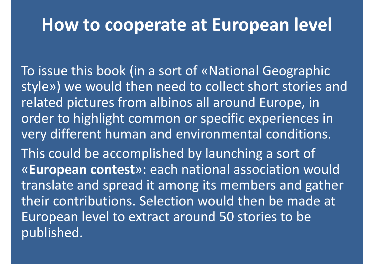## **How to cooperate at European level**

To issue this book (in a sort of «National Geographic style») we would then need to collect short stories and related pictures from albinos all around Europe, in order to highlight common or specific experiences in very different human and environmental conditions. This could be accomplished by launching a sort of «**European contest**»: each national association would translate and spread it among its members and gather their contributions. Selection would then be made at European level to extract around 50 stories to be published.